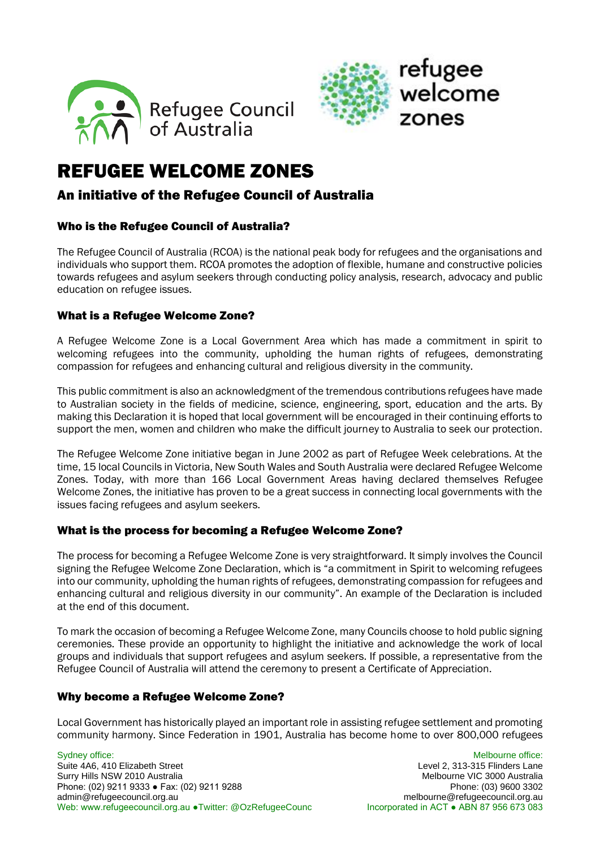



## REFUGEE WELCOME ZONES

#### An initiative of the Refugee Council of Australia

#### Who is the Refugee Council of Australia?

The Refugee Council of Australia (RCOA) is the national peak body for refugees and the organisations and individuals who support them. RCOA promotes the adoption of flexible, humane and constructive policies towards refugees and asylum seekers through conducting policy analysis, research, advocacy and public education on refugee issues.

#### What is a Refugee Welcome Zone?

A Refugee Welcome Zone is a Local Government Area which has made a commitment in spirit to welcoming refugees into the community, upholding the human rights of refugees, demonstrating compassion for refugees and enhancing cultural and religious diversity in the community.

This public commitment is also an acknowledgment of the tremendous contributions refugees have made to Australian society in the fields of medicine, science, engineering, sport, education and the arts. By making this Declaration it is hoped that local government will be encouraged in their continuing efforts to support the men, women and children who make the difficult journey to Australia to seek our protection.

The Refugee Welcome Zone initiative began in June 2002 as part of Refugee Week celebrations. At the time, 15 local Councils in Victoria, New South Wales and South Australia were declared Refugee Welcome Zones. Today, with more than 166 Local Government Areas having declared themselves Refugee Welcome Zones, the initiative has proven to be a great success in connecting local governments with the issues facing refugees and asylum seekers.

#### What is the process for becoming a Refugee Welcome Zone?

The process for becoming a Refugee Welcome Zone is very straightforward. It simply involves the Council signing the Refugee Welcome Zone Declaration, which is "a commitment in Spirit to welcoming refugees into our community, upholding the human rights of refugees, demonstrating compassion for refugees and enhancing cultural and religious diversity in our community". An example of the Declaration is included at the end of this document.

To mark the occasion of becoming a Refugee Welcome Zone, many Councils choose to hold public signing ceremonies. These provide an opportunity to highlight the initiative and acknowledge the work of local groups and individuals that support refugees and asylum seekers. If possible, a representative from the Refugee Council of Australia will attend the ceremony to present a Certificate of Appreciation.

#### Why become a Refugee Welcome Zone?

Local Government has historically played an important role in assisting refugee settlement and promoting community harmony. Since Federation in 1901, Australia has become home to over 800,000 refugees

Sydney office: **Melbourne office:** Melbourne office: Melbourne office: Melbourne office: Suite 4A6, 410 Elizabeth Street Level 2, 313-315 Flinders Lane Surry Hills NSW 2010 Australia<br>
Phone: (02) 9211 9333 • Fax: (02) 9211 9288<br>
Phone: (03) 9600 3302 Phone: (02) 9211 9333 • Fax: (02) 9211 9288 admin@refugeecouncil.org.au melbourne@refugeecouncil.org.au Web: www.refugeecouncil.org.au •Twitter: @OzRefugeeCounc Incorporated in ACT • ABN 87 956 673 083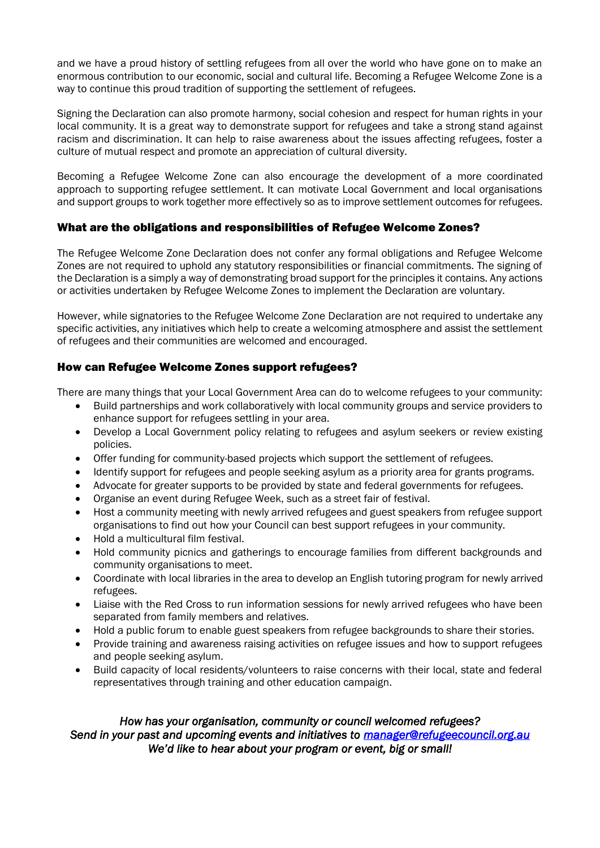and we have a proud history of settling refugees from all over the world who have gone on to make an enormous contribution to our economic, social and cultural life. Becoming a Refugee Welcome Zone is a way to continue this proud tradition of supporting the settlement of refugees.

Signing the Declaration can also promote harmony, social cohesion and respect for human rights in your local community. It is a great way to demonstrate support for refugees and take a strong stand against racism and discrimination. It can help to raise awareness about the issues affecting refugees, foster a culture of mutual respect and promote an appreciation of cultural diversity.

Becoming a Refugee Welcome Zone can also encourage the development of a more coordinated approach to supporting refugee settlement. It can motivate Local Government and local organisations and support groups to work together more effectively so as to improve settlement outcomes for refugees.

#### What are the obligations and responsibilities of Refugee Welcome Zones?

The Refugee Welcome Zone Declaration does not confer any formal obligations and Refugee Welcome Zones are not required to uphold any statutory responsibilities or financial commitments. The signing of the Declaration is a simply a way of demonstrating broad support for the principles it contains. Any actions or activities undertaken by Refugee Welcome Zones to implement the Declaration are voluntary.

However, while signatories to the Refugee Welcome Zone Declaration are not required to undertake any specific activities, any initiatives which help to create a welcoming atmosphere and assist the settlement of refugees and their communities are welcomed and encouraged.

#### How can Refugee Welcome Zones support refugees?

There are many things that your Local Government Area can do to welcome refugees to your community:

- Build partnerships and work collaboratively with local community groups and service providers to enhance support for refugees settling in your area.
- Develop a Local Government policy relating to refugees and asylum seekers or review existing policies.
- Offer funding for community-based projects which support the settlement of refugees.
- Identify support for refugees and people seeking asylum as a priority area for grants programs.
- Advocate for greater supports to be provided by state and federal governments for refugees.
- Organise an event during Refugee Week, such as a street fair of festival.
- Host a community meeting with newly arrived refugees and guest speakers from refugee support organisations to find out how your Council can best support refugees in your community.
- Hold a multicultural film festival.
- Hold community picnics and gatherings to encourage families from different backgrounds and community organisations to meet.
- Coordinate with local libraries in the area to develop an English tutoring program for newly arrived refugees.
- Liaise with the Red Cross to run information sessions for newly arrived refugees who have been separated from family members and relatives.
- Hold a public forum to enable guest speakers from refugee backgrounds to share their stories.
- Provide training and awareness raising activities on refugee issues and how to support refugees and people seeking asylum.
- Build capacity of local residents/volunteers to raise concerns with their local, state and federal representatives through training and other education campaign.

#### *How has your organisation, community or council welcomed refugees? Send in your past and upcoming events and initiatives to [manager@refugeecouncil.org.au](mailto:media@refugeecouncil.org.au)  We'd like to hear about your program or event, big or small!*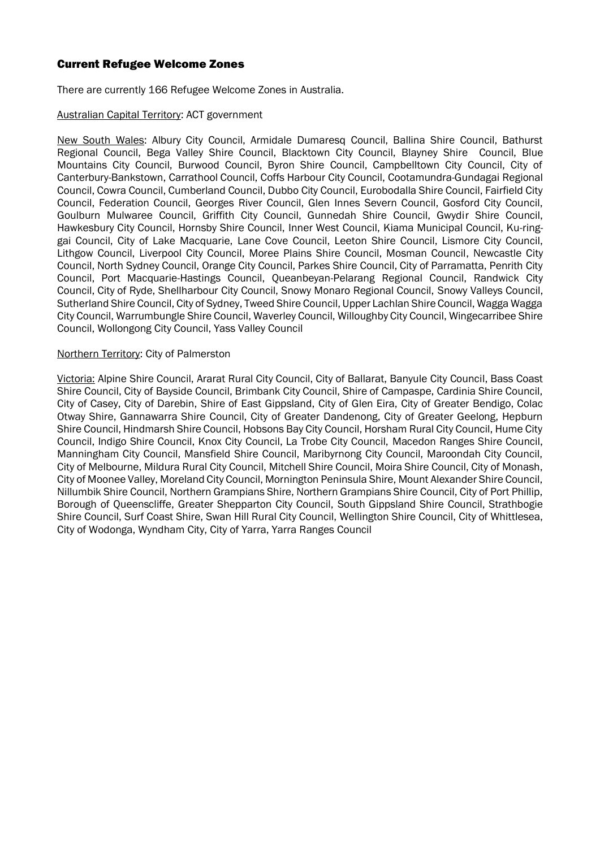#### Current Refugee Welcome Zones

There are currently 166 Refugee Welcome Zones in Australia.

#### Australian Capital Territory: ACT government

New South Wales: Albury City Council, Armidale Dumaresq Council, Ballina Shire Council, Bathurst Regional Council, Bega Valley Shire Council, Blacktown City Council, Blayney Shire Council, Blue Mountains City Council, Burwood Council, Byron Shire Council, Campbelltown City Council, City of Canterbury-Bankstown, Carrathool Council, Coffs Harbour City Council, Cootamundra-Gundagai Regional Council, Cowra Council, Cumberland Council, Dubbo City Council, Eurobodalla Shire Council, Fairfield City Council, Federation Council, Georges River Council, Glen Innes Severn Council, Gosford City Council, Goulburn Mulwaree Council, Griffith City Council, Gunnedah Shire Council, Gwydir Shire Council, Hawkesbury City Council, Hornsby Shire Council, Inner West Council, Kiama Municipal Council, Ku-ringgai Council, City of Lake Macquarie, Lane Cove Council, Leeton Shire Council, Lismore City Council, Lithgow Council, Liverpool City Council, Moree Plains Shire Council, Mosman Council, Newcastle City Council, North Sydney Council, Orange City Council, Parkes Shire Council, City of Parramatta, Penrith City Council, Port Macquarie-Hastings Council, Queanbeyan-Pelarang Regional Council, Randwick City Council, City of Ryde, Shellharbour City Council, Snowy Monaro Regional Council, Snowy Valleys Council, Sutherland Shire Council, City of Sydney, Tweed Shire Council, Upper Lachlan Shire Council, Wagga Wagga City Council, Warrumbungle Shire Council, Waverley Council, Willoughby City Council, Wingecarribee Shire Council, Wollongong City Council, Yass Valley Council

#### Northern Territory: City of Palmerston

Victoria: Alpine Shire Council, Ararat Rural City Council, City of Ballarat, Banyule City Council, Bass Coast Shire Council, City of Bayside Council, Brimbank City Council, Shire of Campaspe, Cardinia Shire Council, City of Casey, City of Darebin, Shire of East Gippsland, City of Glen Eira, City of Greater Bendigo, Colac Otway Shire, Gannawarra Shire Council, City of Greater Dandenong, City of Greater Geelong, Hepburn Shire Council, Hindmarsh Shire Council, Hobsons Bay City Council, Horsham Rural City Council, Hume City Council, Indigo Shire Council, Knox City Council, La Trobe City Council, Macedon Ranges Shire Council, Manningham City Council, Mansfield Shire Council, Maribyrnong City Council, Maroondah City Council, City of Melbourne, Mildura Rural City Council, Mitchell Shire Council, Moira Shire Council, City of Monash, City of Moonee Valley, Moreland City Council, Mornington Peninsula Shire, Mount Alexander Shire Council, Nillumbik Shire Council, Northern Grampians Shire, Northern Grampians Shire Council, City of Port Phillip, Borough of Queenscliffe, Greater Shepparton City Council, South Gippsland Shire Council, Strathbogie Shire Council, Surf Coast Shire, Swan Hill Rural City Council, Wellington Shire Council, City of Whittlesea, City of Wodonga, Wyndham City, City of Yarra, Yarra Ranges Council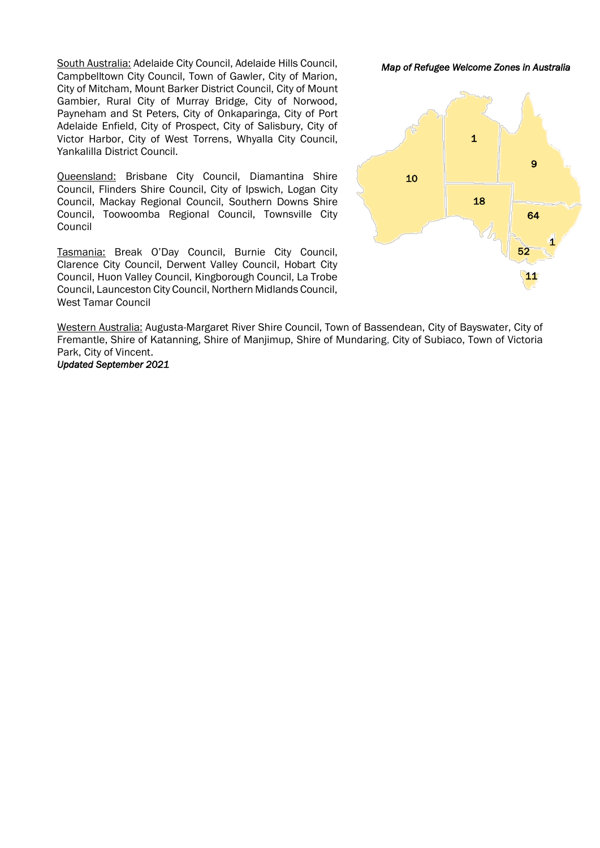South Australia: Adelaide City Council, Adelaide Hills Council, Campbelltown City Council, Town of Gawler, City of Marion, City of Mitcham, Mount Barker District Council, City of Mount Gambier, Rural City of Murray Bridge, City of Norwood, Payneham and St Peters, City of Onkaparinga, City of Port Adelaide Enfield, City of Prospect, City of Salisbury, City of Victor Harbor, City of West Torrens, Whyalla City Council, Yankalilla District Council.

Queensland: Brisbane City Council, Diamantina Shire Council, Flinders Shire Council, City of Ipswich, Logan City Council, Mackay Regional Council, Southern Downs Shire Council, Toowoomba Regional Council, Townsville City Council

Tasmania: Break O'Day Council, Burnie City Council, Clarence City Council, Derwent Valley Council, Hobart City Council, Huon Valley Council, Kingborough Council, La Trobe Council, Launceston City Council, Northern Midlands Council, West Tamar Council

Western Australia: Augusta-Margaret River Shire Council, Town of Bassendean, City of Bayswater, City of Fremantle, Shire of Katanning, Shire of Manjimup, Shire of Mundaring, City of Subiaco, Town of Victoria Park, City of Vincent. *Updated September 2021* 

*Map of Refugee Welcome Zones in Australia*